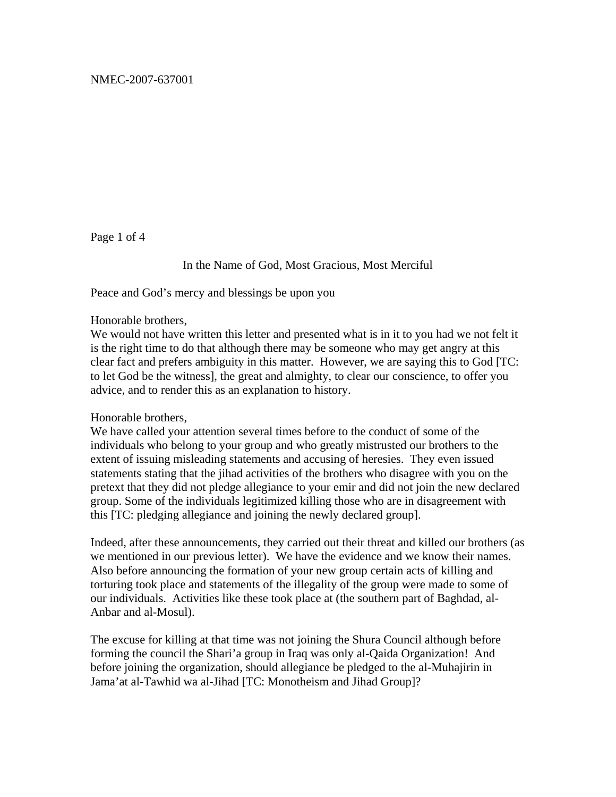Page 1 of 4

## In the Name of God, Most Gracious, Most Merciful

Peace and God's mercy and blessings be upon you

Honorable brothers,

We would not have written this letter and presented what is in it to you had we not felt it is the right time to do that although there may be someone who may get angry at this clear fact and prefers ambiguity in this matter. However, we are saying this to God [TC: to let God be the witness], the great and almighty, to clear our conscience, to offer you advice, and to render this as an explanation to history.

Honorable brothers,

We have called your attention several times before to the conduct of some of the individuals who belong to your group and who greatly mistrusted our brothers to the extent of issuing misleading statements and accusing of heresies. They even issued statements stating that the jihad activities of the brothers who disagree with you on the pretext that they did not pledge allegiance to your emir and did not join the new declared group. Some of the individuals legitimized killing those who are in disagreement with this [TC: pledging allegiance and joining the newly declared group].

Indeed, after these announcements, they carried out their threat and killed our brothers (as we mentioned in our previous letter). We have the evidence and we know their names. Also before announcing the formation of your new group certain acts of killing and torturing took place and statements of the illegality of the group were made to some of our individuals. Activities like these took place at (the southern part of Baghdad, al-Anbar and al-Mosul).

The excuse for killing at that time was not joining the Shura Council although before forming the council the Shari'a group in Iraq was only al-Qaida Organization! And before joining the organization, should allegiance be pledged to the al-Muhajirin in Jama'at al-Tawhid wa al-Jihad [TC: Monotheism and Jihad Group]?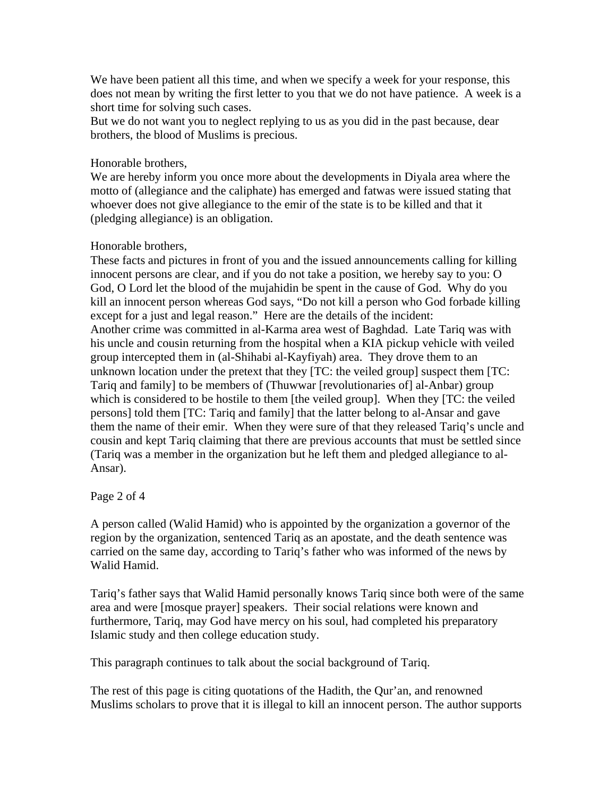We have been patient all this time, and when we specify a week for your response, this does not mean by writing the first letter to you that we do not have patience. A week is a short time for solving such cases.

But we do not want you to neglect replying to us as you did in the past because, dear brothers, the blood of Muslims is precious.

## Honorable brothers,

We are hereby inform you once more about the developments in Diyala area where the motto of (allegiance and the caliphate) has emerged and fatwas were issued stating that whoever does not give allegiance to the emir of the state is to be killed and that it (pledging allegiance) is an obligation.

## Honorable brothers,

These facts and pictures in front of you and the issued announcements calling for killing innocent persons are clear, and if you do not take a position, we hereby say to you: O God, O Lord let the blood of the mujahidin be spent in the cause of God. Why do you kill an innocent person whereas God says, "Do not kill a person who God forbade killing except for a just and legal reason." Here are the details of the incident: Another crime was committed in al-Karma area west of Baghdad. Late Tariq was with his uncle and cousin returning from the hospital when a KIA pickup vehicle with veiled group intercepted them in (al-Shihabi al-Kayfiyah) area. They drove them to an unknown location under the pretext that they [TC: the veiled group] suspect them [TC: Tariq and family] to be members of (Thuwwar [revolutionaries of] al-Anbar) group which is considered to be hostile to them [the veiled group]. When they [TC: the veiled persons] told them [TC: Tariq and family] that the latter belong to al-Ansar and gave them the name of their emir. When they were sure of that they released Tariq's uncle and cousin and kept Tariq claiming that there are previous accounts that must be settled since (Tariq was a member in the organization but he left them and pledged allegiance to al-Ansar).

## Page 2 of 4

A person called (Walid Hamid) who is appointed by the organization a governor of the region by the organization, sentenced Tariq as an apostate, and the death sentence was carried on the same day, according to Tariq's father who was informed of the news by Walid Hamid.

Tariq's father says that Walid Hamid personally knows Tariq since both were of the same area and were [mosque prayer] speakers. Their social relations were known and furthermore, Tariq, may God have mercy on his soul, had completed his preparatory Islamic study and then college education study.

This paragraph continues to talk about the social background of Tariq.

The rest of this page is citing quotations of the Hadith, the Qur'an, and renowned Muslims scholars to prove that it is illegal to kill an innocent person. The author supports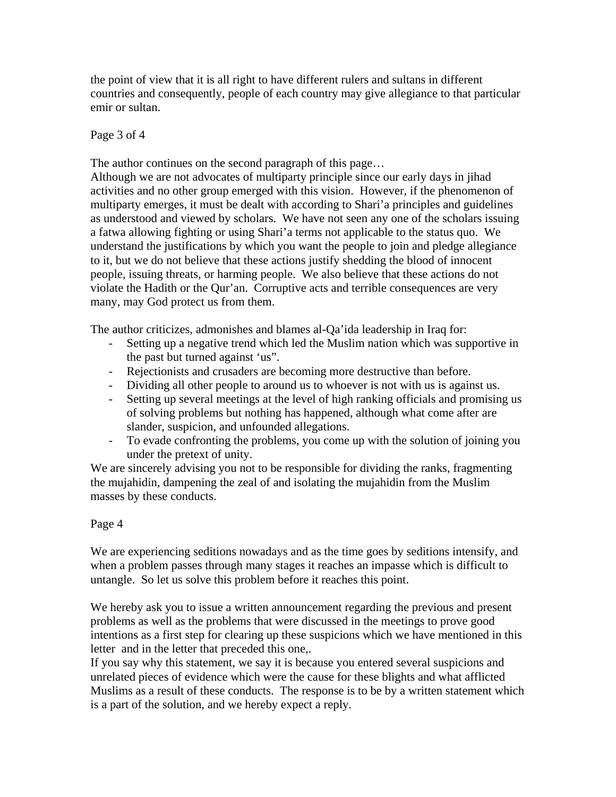the point of view that it is all right to have different rulers and sultans in different countries and consequently, people of each country may give allegiance to that particular emir or sultan.

# Page 3 of 4

The author continues on the second paragraph of this page…

Although we are not advocates of multiparty principle since our early days in jihad activities and no other group emerged with this vision. However, if the phenomenon of multiparty emerges, it must be dealt with according to Shari'a principles and guidelines as understood and viewed by scholars. We have not seen any one of the scholars issuing a fatwa allowing fighting or using Shari'a terms not applicable to the status quo. We understand the justifications by which you want the people to join and pledge allegiance to it, but we do not believe that these actions justify shedding the blood of innocent people, issuing threats, or harming people. We also believe that these actions do not violate the Hadith or the Qur'an. Corruptive acts and terrible consequences are very many, may God protect us from them.

The author criticizes, admonishes and blames al-Qa'ida leadership in Iraq for:

- Setting up a negative trend which led the Muslim nation which was supportive in the past but turned against 'us".
- Rejectionists and crusaders are becoming more destructive than before.
- Dividing all other people to around us to whoever is not with us is against us.
- Setting up several meetings at the level of high ranking officials and promising us of solving problems but nothing has happened, although what come after are slander, suspicion, and unfounded allegations.
- To evade confronting the problems, you come up with the solution of joining you under the pretext of unity.

We are sincerely advising you not to be responsible for dividing the ranks, fragmenting the mujahidin, dampening the zeal of and isolating the mujahidin from the Muslim masses by these conducts.

## Page 4

We are experiencing seditions nowadays and as the time goes by seditions intensify, and when a problem passes through many stages it reaches an impasse which is difficult to untangle. So let us solve this problem before it reaches this point.

We hereby ask you to issue a written announcement regarding the previous and present problems as well as the problems that were discussed in the meetings to prove good intentions as a first step for clearing up these suspicions which we have mentioned in this letter and in the letter that preceded this one,.

If you say why this statement, we say it is because you entered several suspicions and unrelated pieces of evidence which were the cause for these blights and what afflicted Muslims as a result of these conducts. The response is to be by a written statement which is a part of the solution, and we hereby expect a reply.